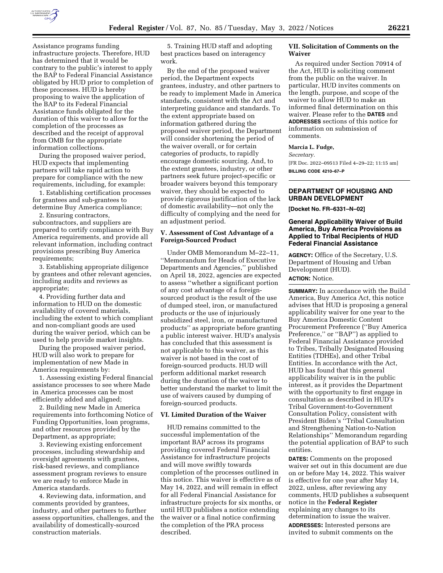

Assistance programs funding infrastructure projects. Therefore, HUD has determined that it would be contrary to the public's interest to apply the BAP to Federal Financial Assistance obligated by HUD prior to completion of these processes. HUD is hereby proposing to waive the application of the BAP to its Federal Financial Assistance funds obligated for the duration of this waiver to allow for the completion of the processes as described and the receipt of approval from OMB for the appropriate information collections.

During the proposed waiver period, HUD expects that implementing partners will take rapid action to prepare for compliance with the new requirements, including, for example:

1. Establishing certification processes for grantees and sub-grantees to determine Buy America compliance;

2. Ensuring contractors, subcontractors, and suppliers are prepared to certify compliance with Buy America requirements, and provide all relevant information, including contract provisions prescribing Buy America requirements;

3. Establishing appropriate diligence by grantees and other relevant agencies, including audits and reviews as appropriate;

4. Providing further data and information to HUD on the domestic availability of covered materials, including the extent to which compliant and non-compliant goods are used during the waiver period, which can be used to help provide market insights.

During the proposed waiver period, HUD will also work to prepare for implementation of new Made in America requirements by:

1. Assessing existing Federal financial assistance processes to see where Made in America processes can be most efficiently added and aligned;

2. Building new Made in America requirements into forthcoming Notice of Funding Opportunities, loan programs, and other resources provided by the Department, as appropriate;

3. Reviewing existing enforcement processes, including stewardship and oversight agreements with grantees, risk-based reviews, and compliance assessment program reviews to ensure we are ready to enforce Made in America standards.

4. Reviewing data, information, and comments provided by grantees, industry, and other partners to further assess opportunities, challenges, and the availability of domestically-sourced construction materials.

5. Training HUD staff and adopting best practices based on interagency work.

By the end of the proposed waiver period, the Department expects grantees, industry, and other partners to be ready to implement Made in America standards, consistent with the Act and interpreting guidance and standards. To the extent appropriate based on information gathered during the proposed waiver period, the Department will consider shortening the period of the waiver overall, or for certain categories of products, to rapidly encourage domestic sourcing. And, to the extent grantees, industry, or other partners seek future project-specific or broader waivers beyond this temporary waiver, they should be expected to provide rigorous justification of the lack of domestic availability—not only the difficulty of complying and the need for an adjustment period.

# **V. Assessment of Cost Advantage of a Foreign-Sourced Product**

Under OMB Memorandum M–22–11, ''Memorandum for Heads of Executive Departments and Agencies,'' published on April 18, 2022, agencies are expected to assess ''whether a significant portion of any cost advantage of a foreignsourced product is the result of the use of dumped steel, iron, or manufactured products or the use of injuriously subsidized steel, iron, or manufactured products'' as appropriate before granting a public interest waiver. HUD's analysis has concluded that this assessment is not applicable to this waiver, as this waiver is not based in the cost of foreign-sourced products. HUD will perform additional market research during the duration of the waiver to better understand the market to limit the use of waivers caused by dumping of foreign-sourced products.

### **VI. Limited Duration of the Waiver**

HUD remains committed to the successful implementation of the important BAP across its programs providing covered Federal Financial Assistance for infrastructure projects and will move swiftly towards completion of the processes outlined in this notice. This waiver is effective as of May 14, 2022, and will remain in effect for all Federal Financial Assistance for infrastructure projects for six months, or until HUD publishes a notice extending the waiver or a final notice confirming the completion of the PRA process described.

### **VII. Solicitation of Comments on the Waiver**

As required under Section 70914 of the Act, HUD is soliciting comment from the public on the waiver. In particular, HUD invites comments on the length, purpose, and scope of the waiver to allow HUD to make an informed final determination on this waiver. Please refer to the **DATES** and **ADDRESSES** sections of this notice for information on submission of comments.

### **Marcia L. Fudge,**

*Secretary.* 

[FR Doc. 2022–09513 Filed 4–29–22; 11:15 am] **BILLING CODE 4210–67–P** 

# **DEPARTMENT OF HOUSING AND URBAN DEVELOPMENT**

**[Docket No. FR–6331–N–02]** 

### **General Applicability Waiver of Build America, Buy America Provisions as Applied to Tribal Recipients of HUD Federal Financial Assistance**

**AGENCY:** Office of the Secretary, U.S. Department of Housing and Urban Development (HUD). **ACTION:** Notice.

**SUMMARY:** In accordance with the Build America, Buy America Act, this notice advises that HUD is proposing a general applicability waiver for one year to the Buy America Domestic Content Procurement Preference (''Buy America Preference,'' or ''BAP'') as applied to Federal Financial Assistance provided to Tribes, Tribally Designated Housing Entities (TDHEs), and other Tribal Entities. In accordance with the Act, HUD has found that this general applicability waiver is in the public interest, as it provides the Department with the opportunity to first engage in consultation as described in HUD's Tribal Government-to-Government Consultation Policy, consistent with President Biden's ''Tribal Consultation and Strengthening Nation-to-Nation Relationships'' Memorandum regarding the potential application of BAP to such entities.

**DATES:** Comments on the proposed waiver set out in this document are due on or before May 14, 2022. This waiver is effective for one year after May 14, 2022, unless, after reviewing any comments, HUD publishes a subsequent notice in the **Federal Register**  explaining any changes to its determination to issue the waiver.

**ADDRESSES:** Interested persons are invited to submit comments on the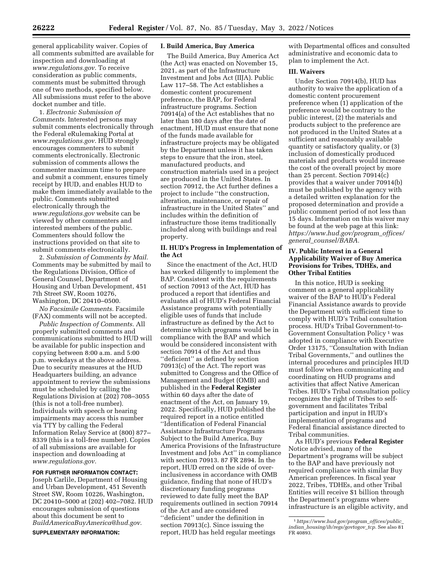general applicability waiver. Copies of all comments submitted are available for inspection and downloading at *[www.regulations.gov.](http://www.regulations.gov)* To receive consideration as public comments, comments must be submitted through one of two methods, specified below. All submissions must refer to the above docket number and title.

1. *Electronic Submission of Comments.* Interested persons may submit comments electronically through the Federal eRulemaking Portal at *[www.regulations.gov.](http://www.regulations.gov)* HUD strongly encourages commenters to submit comments electronically. Electronic submission of comments allows the commenter maximum time to prepare and submit a comment, ensures timely receipt by HUD, and enables HUD to make them immediately available to the public. Comments submitted electronically through the *[www.regulations.gov](http://www.regulations.gov)* website can be viewed by other commenters and interested members of the public. Commenters should follow the instructions provided on that site to submit comments electronically.

2. *Submission of Comments by Mail.*  Comments may be submitted by mail to the Regulations Division, Office of General Counsel, Department of Housing and Urban Development, 451 7th Street SW, Room 10276, Washington, DC 20410–0500.

*No Facsimile Comments.* Facsimile (FAX) comments will not be accepted.

*Public Inspection of Comments.* All properly submitted comments and communications submitted to HUD will be available for public inspection and copying between 8:00 a.m. and 5:00 p.m. weekdays at the above address. Due to security measures at the HUD Headquarters building, an advance appointment to review the submissions must be scheduled by calling the Regulations Division at (202) 708–3055 (this is not a toll-free number). Individuals with speech or hearing impairments may access this number via TTY by calling the Federal Information Relay Service at (800) 877– 8339 (this is a toll-free number). Copies of all submissions are available for inspection and downloading at *[www.regulations.gov.](http://www.regulations.gov)* 

# **FOR FURTHER INFORMATION CONTACT:**

Joseph Carlile, Department of Housing and Urban Development, 451 Seventh Street SW, Room 10226, Washington, DC 20410–5000 at (202) 402–7082. HUD encourages submission of questions about this document be sent to *[BuildAmericaBuyAmerica@hud.gov.](mailto:BuildAmericaBuyAmerica@hud.gov)*  **SUPPLEMENTARY INFORMATION:** 

### **I. Build America, Buy America**

The Build America, Buy America Act (the Act) was enacted on November 15, 2021, as part of the Infrastructure Investment and Jobs Act (IIJA). Public Law 117–58. The Act establishes a domestic content procurement preference, the BAP, for Federal infrastructure programs. Section 70914(a) of the Act establishes that no later than 180 days after the date of enactment, HUD must ensure that none of the funds made available for infrastructure projects may be obligated by the Department unless it has taken steps to ensure that the iron, steel, manufactured products, and construction materials used in a project are produced in the United States. In section 70912, the Act further defines a project to include ''the construction, alteration, maintenance, or repair of infrastructure in the United States'' and includes within the definition of infrastructure those items traditionally included along with buildings and real property.

### **II. HUD's Progress in Implementation of the Act**

Since the enactment of the Act, HUD has worked diligently to implement the BAP. Consistent with the requirements of section 70913 of the Act, HUD has produced a report that identifies and evaluates all of HUD's Federal Financial Assistance programs with potentially eligible uses of funds that include infrastructure as defined by the Act to determine which programs would be in compliance with the BAP and which would be considered inconsistent with section 70914 of the Act and thus ''deficient'' as defined by section 70913(c) of the Act. The report was submitted to Congress and the Office of Management and Budget (OMB) and published in the **Federal Register**  within 60 days after the date of enactment of the Act, on January 19, 2022. Specifically, HUD published the required report in a notice entitled ''Identification of Federal Financial Assistance Infrastructure Programs Subject to the Build America, Buy America Provisions of the Infrastructure Investment and Jobs Act'' in compliance with section 70913. 87 FR 2894. In the report, HUD erred on the side of overinclusiveness in accordance with OMB guidance, finding that none of HUD's discretionary funding programs reviewed to date fully meet the BAP requirements outlined in section 70914 of the Act and are considered ''deficient'' under the definition in section 70913(c). Since issuing the report, HUD has held regular meetings

with Departmental offices and consulted administrative and economic data to plan to implement the Act.

# **III. Waivers**

Under Section 70914(b), HUD has authority to waive the application of a domestic content procurement preference when (1) application of the preference would be contrary to the public interest, (2) the materials and products subject to the preference are not produced in the United States at a sufficient and reasonably available quantity or satisfactory quality, or (3) inclusion of domestically produced materials and products would increase the cost of the overall project by more than 25 percent. Section 70914(c) provides that a waiver under 70914(b) must be published by the agency with a detailed written explanation for the proposed determination and provide a public comment period of not less than 15 days. Information on this waiver may be found at the web page at this link: *[https://www.hud.gov/program](https://www.hud.gov/program_offices/general_counsel/BABA)*\_*offices/ general*\_*[counsel/BABA.](https://www.hud.gov/program_offices/general_counsel/BABA)* 

### **IV. Public Interest in a General Applicability Waiver of Buy America Provisions for Tribes, TDHEs, and Other Tribal Entities**

In this notice, HUD is seeking comment on a general applicability waiver of the BAP to HUD's Federal Financial Assistance awards to provide the Department with sufficient time to comply with HUD's Tribal consultation process. HUD's Tribal Government-to-Government Consultation Policy 1 was adopted in compliance with Executive Order 13175, ''Consultation with Indian Tribal Governments,'' and outlines the internal procedures and principles HUD must follow when communicating and coordinating on HUD programs and activities that affect Native American Tribes. HUD's Tribal consultation policy recognizes the right of Tribes to selfgovernment and facilitates Tribal participation and input in HUD's implementation of programs and Federal financial assistance directed to Tribal communities.

As HUD's previous **Federal Register**  Notice advised, many of the Department's programs will be subject to the BAP and have previously not required compliance with similar Buy American preferences. In fiscal year 2022, Tribes, TDHEs, and other Tribal Entities will receive \$1 billion through the Department's programs where infrastructure is an eligible activity, and

<sup>1</sup>*[https://www.hud.gov/program](https://www.hud.gov/program_offices/public_indian_housing/ih/regs/govtogov_tcp)*\_*offices/public*\_ *indian*\_*[housing/ih/regs/govtogov](https://www.hud.gov/program_offices/public_indian_housing/ih/regs/govtogov_tcp)*\_*tcp.* See also 81 FR 40893.